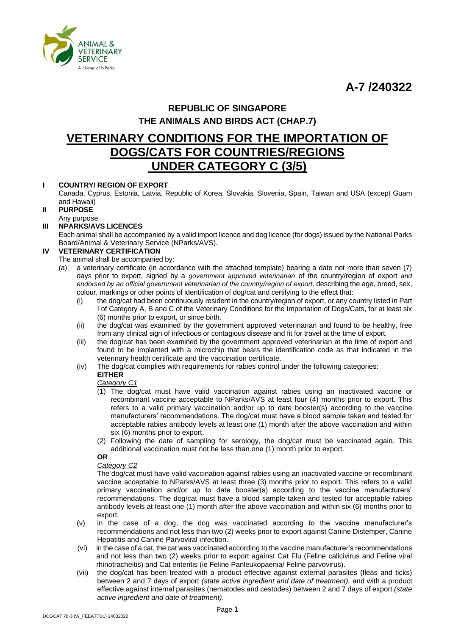**A-7 /240322**



## **REPUBLIC OF SINGAPORE THE ANIMALS AND BIRDS ACT (CHAP.7)**

# **VETERINARY CONDITIONS FOR THE IMPORTATION OF DOGS/CATS FOR COUNTRIES/REGIONS UNDER CATEGORY C (3/5)**

## **I COUNTRY/ REGION OF EXPORT**

Canada, Cyprus, Estonia, Latvia, Republic of Korea, Slovakia, Slovenia, Spain, Taiwan and USA (except Guam and Hawaii)

- **II PURPOSE**
- Any purpose.
- **III NPARKS/AVS LICENCES**

Each animal shall be accompanied by a valid import licence and dog licence (for dogs) issued by the National Parks Board/Animal & Veterinary Service (NParks/AVS).

## **IV VETERINARY CERTIFICATION**

- The animal shall be accompanied by:
- (a) a veterinary certificate (in accordance with the attached template) bearing a date not more than seven (7) days prior to export, signed by a *government approved veterinarian* of the country/region of export *and endorsed by an official government veterinarian of the country/region of export,* describing the age, breed, sex, colour, markings or other points of identification of dog/cat and certifying to the effect that:
	- (i) the dog/cat had been continuously resident in the country/region of export, or any country listed in Part I of Category A, B and C of the Veterinary Conditions for the Importation of Dogs/Cats, for at least six (6) months prior to export, or since birth.
	- (ii) the dog/cat was examined by the government approved veterinarian and found to be healthy, free from any clinical sign of infectious or contagious disease and fit for travel at the time of export.
	- (iii) the dog/cat has been examined by the government approved veterinarian at the time of export and found to be implanted with a microchip that bears the identification code as that indicated in the veterinary health certificate and the vaccination certificate.
	- (iv) The dog/cat complies with requirements for rabies control under the following categories:

#### **EITHER** *Category C1*

- (1) The dog/cat must have valid vaccination against rabies using an inactivated vaccine or recombinant vaccine acceptable to NParks/AVS at least four (4) months prior to export. This refers to a valid primary vaccination and/or up to date booster(s) according to the vaccine manufacturers' recommendations. The dog/cat must have a blood sample taken and tested for acceptable rabies antibody levels at least one (1) month after the above vaccination and within six (6) months prior to export.
- (2) Following the date of sampling for serology, the dog/cat must be vaccinated again. This additional vaccination must not be less than one (1) month prior to export.

### **OR**

#### *Category C2*

The dog/cat must have valid vaccination against rabies using an inactivated vaccine or recombinant vaccine acceptable to NParks/AVS at least three (3) months prior to export. This refers to a valid primary vaccination and/or up to date booster(s) according to the vaccine manufacturers' recommendations. The dog/cat must have a blood sample taken and tested for acceptable rabies antibody levels at least one (1) month after the above vaccination and within six (6) months prior to export.

- (v) in the case of a dog, the dog was vaccinated according to the vaccine manufacturer's recommendations and not less than two (2) weeks prior to export against Canine Distemper, Canine Hepatitis and Canine Parvoviral infection.
- (vi) in the case of a cat, the cat was vaccinated according to the vaccine manufacturer's recommendations and not less than two (2) weeks prior to export against Cat Flu (Feline calicivirus and Feline viral rhinotracheitis) and Cat enteritis (ie Feline Panleukopaenia/ Feline parvovirus).
- (vii) the dog/cat has been treated with a product effective against external parasites (fleas and ticks) between 2 and 7 days of export *(state active ingredient and date of treatment),* and with a product effective against internal parasites (nematodes and cestodes) between 2 and 7 days of export *(state active ingredient and date of treatment)*.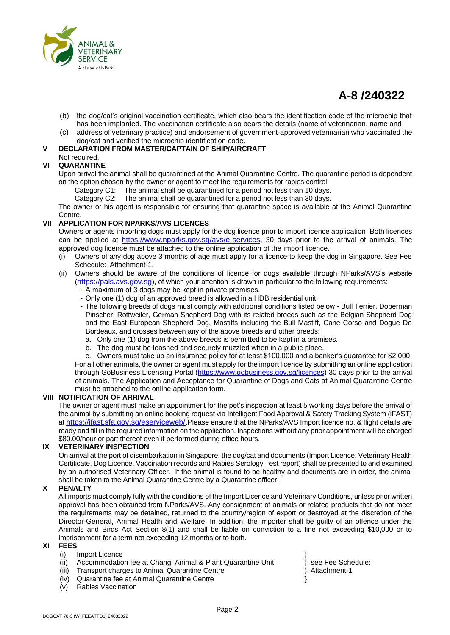

# **A-8 /240322**

- (b) the dog/cat's original vaccination certificate, which also bears the identification code of the microchip that has been implanted. The vaccination certificate also bears the details (name of veterinarian, name and
- (c) address of veterinary practice) and endorsement of government-approved veterinarian who vaccinated the dog/cat and verified the microchip identification code.

#### **V DECLARATION FROM MASTER/CAPTAIN OF SHIP/AIRCRAFT**

## Not required.

#### **VI QUARANTINE**

Upon arrival the animal shall be quarantined at the Animal Quarantine Centre. The quarantine period is dependent on the option chosen by the owner or agent to meet the requirements for rabies control:

- Category C1: The animal shall be quarantined for a period not less than 10 days.
- Category C2: The animal shall be quarantined for a period not less than 30 days.

The owner or his agent is responsible for ensuring that quarantine space is available at the Animal Quarantine Centre.

### **VII APPLICATION FOR NPARKS/AVS LICENCES**

Owners or agents importing dogs must apply for the dog licence prior to import licence application. Both licences can be applied at [https://www.nparks.gov.sg/avs/e-services,](https://www.nparks.gov.sg/avs/e-services) 30 days prior to the arrival of animals. The approved dog licence must be attached to the online application of the import licence.

- (i) Owners of any dog above 3 months of age must apply for a licence to keep the dog in Singapore. See Fee Schedule: Attachment-1.
- Owners should be aware of the conditions of licence for dogs available through NParks/AVS's website ([https://pals.avs.gov.sg](https://pals.avs.gov.sg/)), of which your attention is drawn in particular to the following requirements:
	- A maximum of 3 dogs may be kept in private premises.
	- Only one (1) dog of an approved breed is allowed in a HDB residential unit.
	- The following breeds of dogs must comply with additional conditions listed below Bull Terrier, Doberman Pinscher, Rottweiler, German Shepherd Dog with its related breeds such as the Belgian Shepherd Dog and the East European Shepherd Dog, Mastiffs including the Bull Mastiff, Cane Corso and Dogue De Bordeaux, and crosses between any of the above breeds and other breeds:
		- a. Only one (1) dog from the above breeds is permitted to be kept in a premises.
		- b. The dog must be leashed and securely muzzled when in a public place.

c. Owners must take up an insurance policy for at least \$100,000 and a banker's guarantee for \$2,000. For all other animals, the owner or agent must apply for the import licence by submitting an online application through GoBusiness Licensing Portal [\(https://www.gobusiness.gov.sg/licences\)](https://www.gobusiness.gov.sg/licences) 30 days prior to the arrival of animals. The Application and Acceptance for Quarantine of Dogs and Cats at Animal Quarantine Centre must be attached to the online application form.

#### **VIII NOTIFICATION OF ARRIVAL**

The owner or agent must make an appointment for the pet's inspection at least 5 working days before the arrival of the animal by submitting an online booking request via Intelligent Food Approval & Safety Tracking System (iFAST) at [https://ifast.sfa.gov.sg/eserviceweb/.](https://ifast.sfa.gov.sg/eserviceweb/)Please ensure that the NParks/AVS Import licence no. & flight details are ready and fill in the required information on the application. Inspections without any prior appointment will be charged \$80.00/hour or part thereof even if performed during office hours.

#### **IX VETERINARY INSPECTION**

On arrival at the port of disembarkation in Singapore, the dog/cat and documents (Import Licence, Veterinary Health Certificate, Dog Licence, Vaccination records and Rabies Serology Test report) shall be presented to and examined by an authorised Veterinary Officer. If the animal is found to be healthy and documents are in order, the animal shall be taken to the Animal Quarantine Centre by a Quarantine officer.

#### **X PENALTY**

All imports must comply fully with the conditions of the Import Licence and Veterinary Conditions, unless prior written approval has been obtained from NParks/AVS. Any consignment of animals or related products that do not meet the requirements may be detained, returned to the country/region of export or destroyed at the discretion of the Director-General, Animal Health and Welfare. In addition, the importer shall be guilty of an offence under the Animals and Birds Act Section 8(1) and shall be liable on conviction to a fine not exceeding \$10,000 or to imprisonment for a term not exceeding 12 months or to both.

#### **XI FEES**

#### (i) Import Licence

- (ii) Accommodation fee at Changi Animal & Plant Quarantine Unit } see Fee Schedule:
- (iii) Transport charges to Animal Quarantine Centre **1998** Attachment-1
- (iv) Quarantine fee at Animal Quarantine Centre }
- (v) Rabies Vaccination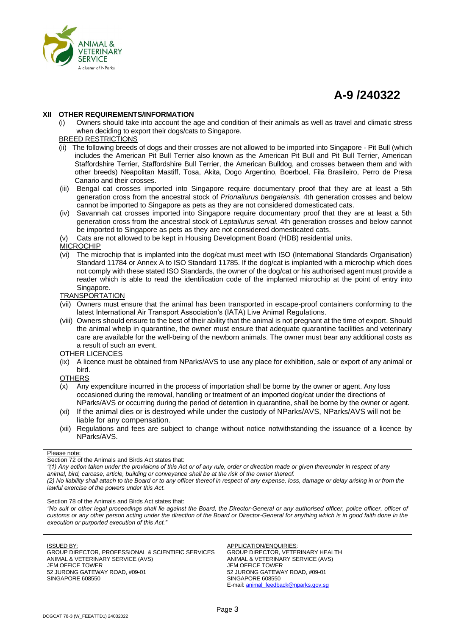

# **A-9 /240322**

#### **XII OTHER REQUIREMENTS/INFORMATION**

Owners should take into account the age and condition of their animals as well as travel and climatic stress when deciding to export their dogs/cats to Singapore.

#### BREED RESTRICTIONS

- (ii) The following breeds of dogs and their crosses are not allowed to be imported into Singapore Pit Bull (which includes the American Pit Bull Terrier also known as the American Pit Bull and Pit Bull Terrier, American Staffordshire Terrier, Staffordshire Bull Terrier, the American Bulldog, and crosses between them and with other breeds) Neapolitan Mastiff, Tosa, Akita, Dogo Argentino, Boerboel, Fila Brasileiro, Perro de Presa Canario and their crosses.
- (iii) Bengal cat crosses imported into Singapore require documentary proof that they are at least a 5th generation cross from the ancestral stock of *Prionailurus bengalensis.* 4th generation crosses and below cannot be imported to Singapore as pets as they are not considered domesticated cats.
- (iv) Savannah cat crosses imported into Singapore require documentary proof that they are at least a 5th generation cross from the ancestral stock of *Leptailurus serval.* 4th generation crosses and below cannot be imported to Singapore as pets as they are not considered domesticated cats.

(v) Cats are not allowed to be kept in Housing Development Board (HDB) residential units.

#### MICROCHIP

(vi) The microchip that is implanted into the dog/cat must meet with ISO (International Standards Organisation) Standard 11784 or Annex A to ISO Standard 11785. If the dog/cat is implanted with a microchip which does not comply with these stated ISO Standards, the owner of the dog/cat or his authorised agent must provide a reader which is able to read the identification code of the implanted microchip at the point of entry into Singapore.

#### TRANSPORTATION

- (vii) Owners must ensure that the animal has been transported in escape-proof containers conforming to the latest International Air Transport Association's (IATA) Live Animal Regulations.
- (viii) Owners should ensure to the best of their ability that the animal is not pregnant at the time of export. Should the animal whelp in quarantine, the owner must ensure that adequate quarantine facilities and veterinary care are available for the well-being of the newborn animals. The owner must bear any additional costs as a result of such an event.

#### OTHER LICENCES

(ix) A licence must be obtained from NParks/AVS to use any place for exhibition, sale or export of any animal or bird.

#### **OTHERS**

- (x) Any expenditure incurred in the process of importation shall be borne by the owner or agent. Any loss occasioned during the removal, handling or treatment of an imported dog/cat under the directions of NParks/AVS or occurring during the period of detention in quarantine, shall be borne by the owner or agent.
- (xi) If the animal dies or is destroyed while under the custody of NParks/AVS, NParks/AVS will not be liable for any compensation.
- (xii) Regulations and fees are subject to change without notice notwithstanding the issuance of a licence by NParks/AVS.

#### Please note:

Section 72 of the Animals and Birds Act states that:

*"(1) Any action taken under the provisions of this Act or of any rule, order or direction made or given thereunder in respect of any animal, bird, carcase, article, building or conveyance shall be at the risk of the owner thereof.*

*(2) No liability shall attach to the Board or to any officer thereof in respect of any expense, loss, damage or delay arising in or from the lawful exercise of the powers under this Act.*

Section 78 of the Animals and Birds Act states that:

*"No suit or other legal proceedings shall lie against the Board, the Director-General or any authorised officer, police officer, officer of customs or any other person acting under the direction of the Board or Director-General for anything which is in good faith done in the execution or purported execution of this Act."*

#### ISSUED BY:

GROUP DIRECTOR, PROFESSIONAL & SCIENTIFIC SERVICES ANIMAL & VETERINARY SERVICE (AVS) JEM OFFICE TOWER 52 JURONG GATEWAY ROAD, #09-01 SINGAPORE 608550

APPLICATION/ENQUIRIES: GROUP DIRECTOR, VETERINARY HEALTH ANIMAL & VETERINARY SERVICE (AVS) JEM OFFICE TOWER 52 JURONG GATEWAY ROAD, #09-01 SINGAPORE 608550 E-mail[: animal\\_feedback@nparks.gov.sg](mailto:animal_feedback@nparks.gov.sg)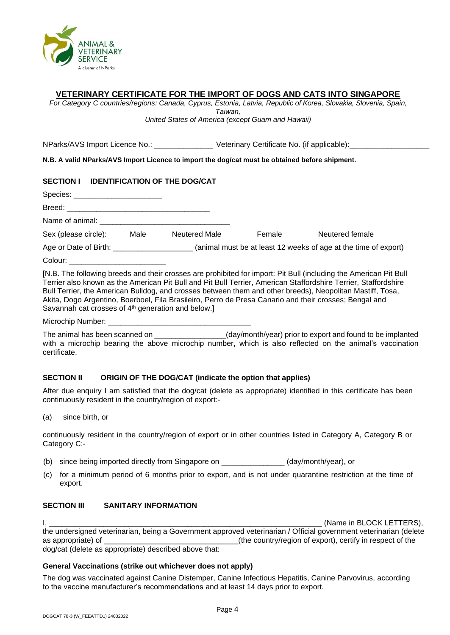

## **VETERINARY CERTIFICATE FOR THE IMPORT OF DOGS AND CATS INTO SINGAPORE**

*For Category C countries/regions: Canada, Cyprus, Estonia, Latvia, Republic of Korea, Slovakia, Slovenia, Spain, Taiwan,* 

*United States of America (except Guam and Hawaii)*

NParks/AVS Import Licence No.: \_\_\_\_\_\_\_\_\_\_\_\_\_\_\_\_\_\_\_\_ Veterinary Certificate No. (if applicable):

**N.B. A valid NParks/AVS Import Licence to import the dog/cat must be obtained before shipment.**

## **SECTION I IDENTIFICATION OF THE DOG/CAT**

Species:

Breed: Name of animal:

| Sex (please circle):  | Male | Neutered Male | Female | Neutered female                                                 |
|-----------------------|------|---------------|--------|-----------------------------------------------------------------|
| Age or Date of Birth: |      |               |        | (animal must be at least 12 weeks of age at the time of export) |

Colour:

[N.B. The following breeds and their crosses are prohibited for import: Pit Bull (including the American Pit Bull Terrier also known as the American Pit Bull and Pit Bull Terrier, American Staffordshire Terrier, Staffordshire Bull Terrier, the American Bulldog, and crosses between them and other breeds), Neopolitan Mastiff, Tosa, Akita, Dogo Argentino, Boerboel, Fila Brasileiro, Perro de Presa Canario and their crosses; Bengal and Savannah cat crosses of 4<sup>th</sup> generation and below.]

Microchip Number:

The animal has been scanned on \_\_\_\_\_\_\_\_\_\_\_\_\_\_\_\_\_(day/month/year) prior to export and found to be implanted with a microchip bearing the above microchip number, which is also reflected on the animal's vaccination certificate.

## **SECTION II ORIGIN OF THE DOG/CAT (indicate the option that applies)**

After due enquiry I am satisfied that the dog/cat (delete as appropriate) identified in this certificate has been continuously resident in the country/region of export:-

(a) since birth, or

continuously resident in the country/region of export or in other countries listed in Category A, Category B or Category C:-

- (b) since being imported directly from Singapore on \_\_\_\_\_\_\_\_\_\_\_\_\_\_\_ (day/month/year), or
- (c) for a minimum period of 6 months prior to export, and is not under quarantine restriction at the time of export.

## **SECTION III SANITARY INFORMATION**

I, \_\_\_\_\_\_\_\_\_\_\_\_\_\_\_\_\_\_\_\_\_\_\_\_\_\_\_\_\_\_\_\_\_\_\_\_\_\_\_\_\_\_\_\_\_\_\_\_\_\_\_\_\_\_\_\_\_\_\_\_\_\_\_\_\_ (Name in BLOCK LETTERS),

the undersigned veterinarian, being a Government approved veterinarian / Official government veterinarian (delete as appropriate) of \_\_\_\_\_\_\_\_\_\_\_\_\_\_\_\_\_\_\_\_\_\_\_\_\_\_\_\_\_\_\_\_(the country/region of export), certify in respect of the dog/cat (delete as appropriate) described above that:

## **General Vaccinations (strike out whichever does not apply)**

The dog was vaccinated against Canine Distemper, Canine Infectious Hepatitis, Canine Parvovirus, according to the vaccine manufacturer's recommendations and at least 14 days prior to export.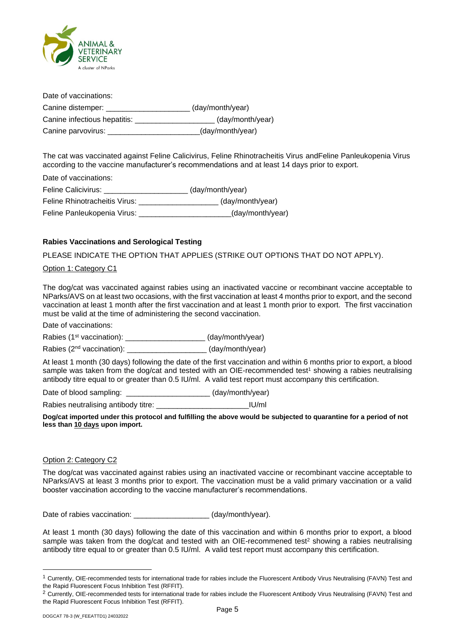

Date of vaccinations: Canine distemper: \_\_\_\_\_\_\_\_\_\_\_\_\_\_\_\_\_\_\_\_ (day/month/year) Canine infectious hepatitis: \_\_\_\_\_\_\_\_\_\_\_\_\_\_\_\_\_\_\_ (day/month/year) Canine parvovirus: \_\_\_\_\_\_\_\_\_\_\_\_\_\_\_\_\_\_\_\_\_\_(day/month/year)

The cat was vaccinated against Feline Calicivirus, Feline Rhinotracheitis Virus andFeline Panleukopenia Virus according to the vaccine manufacturer's recommendations and at least 14 days prior to export.

Date of vaccinations:

Feline Calicivirus: \_\_\_\_\_\_\_\_\_\_\_\_\_\_\_\_\_\_\_\_\_\_\_ (day/month/year) Feline Rhinotracheitis Virus: \_\_\_\_\_\_\_\_\_\_\_\_\_\_\_\_\_\_\_ (day/month/year)

Feline Panleukopenia Virus: etc. by a matter (day/month/year)

## **Rabies Vaccinations and Serological Testing**

PLEASE INDICATE THE OPTION THAT APPLIES (STRIKE OUT OPTIONS THAT DO NOT APPLY).

## Option 1: Category C1

The dog/cat was vaccinated against rabies using an inactivated vaccine or recombinant vaccine acceptable to NParks/AVS on at least two occasions, with the first vaccination at least 4 months prior to export, and the second vaccination at least 1 month after the first vaccination and at least 1 month prior to export. The first vaccination must be valid at the time of administering the second vaccination.

Date of vaccinations:

Rabies (1<sup>st</sup> vaccination): \_\_\_\_\_\_\_\_\_\_\_\_\_\_\_\_\_\_\_\_\_\_\_ (day/month/year)

Rabies (2<sup>nd</sup> vaccination): \_\_\_\_\_\_\_\_\_\_\_\_\_\_\_\_\_\_\_\_\_(day/month/year)

At least 1 month (30 days) following the date of the first vaccination and within 6 months prior to export, a blood sample was taken from the dog/cat and tested with an OIE-recommended test<sup>1</sup> showing a rabies neutralising antibody titre equal to or greater than 0.5 IU/ml. A valid test report must accompany this certification.

Date of blood sampling: \_\_\_\_\_\_\_\_\_\_\_\_\_\_\_\_\_\_\_\_\_\_\_\_(day/month/year)

Rabies neutralising antibody titre: \_\_\_\_\_\_\_\_\_\_\_\_\_\_\_\_\_\_\_\_\_\_\_\_\_\_\_\_\_\_\_IU/ml

**Dog/cat imported under this protocol and fulfilling the above would be subjected to quarantine for a period of not less than 10 days upon import.**

#### Option 2: Category C2

The dog/cat was vaccinated against rabies using an inactivated vaccine or recombinant vaccine acceptable to NParks/AVS at least 3 months prior to export. The vaccination must be a valid primary vaccination or a valid booster vaccination according to the vaccine manufacturer's recommendations.

Date of rabies vaccination: \_\_\_\_\_\_\_\_\_\_\_\_\_\_\_\_\_\_\_\_\_\_ (day/month/year).

At least 1 month (30 days) following the date of this vaccination and within 6 months prior to export, a blood sample was taken from the dog/cat and tested with an OIE-recommened test<sup>2</sup> showing a rabies neutralising antibody titre equal to or greater than 0.5 IU/ml. A valid test report must accompany this certification.

<sup>&</sup>lt;sup>1</sup> Currently, OIE-recommended tests for international trade for rabies include the Fluorescent Antibody Virus Neutralising (FAVN) Test and the Rapid Fluorescent Focus Inhibition Test (RFFIT).

<sup>&</sup>lt;sup>2</sup> Currently, OIE-recommended tests for international trade for rabies include the Fluorescent Antibody Virus Neutralising (FAVN) Test and the Rapid Fluorescent Focus Inhibition Test (RFFIT).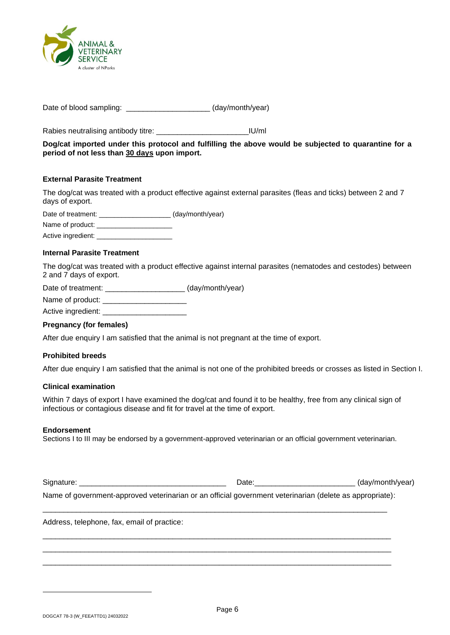

Date of blood sampling: \_\_\_\_\_\_\_\_\_\_\_\_\_\_\_\_\_\_\_\_\_\_\_ (day/month/year)

Rabies neutralising antibody titre: \_\_\_\_\_\_\_\_\_\_\_\_\_\_\_\_\_\_\_\_\_\_IU/ml

**Dog/cat imported under this protocol and fulfilling the above would be subjected to quarantine for a period of not less than 30 days upon import.**

### **External Parasite Treatment**

The dog/cat was treated with a product effective against external parasites (fleas and ticks) between 2 and 7 days of export.

Date of treatment: \_\_\_\_\_\_\_\_\_\_\_\_\_\_\_\_\_\_\_\_\_\_ (day/month/year)

Name of product:

Active ingredient:

#### **Internal Parasite Treatment**

The dog/cat was treated with a product effective against internal parasites (nematodes and cestodes) between 2 and 7 days of export.

Date of treatment: \_\_\_\_\_\_\_\_\_\_\_\_\_\_\_\_\_\_\_\_\_\_ (day/month/year)

Name of product: \_\_\_\_\_\_\_\_\_\_\_\_\_\_\_\_\_\_\_\_

Active ingredient: \_\_\_\_\_\_

#### **Pregnancy (for females)**

After due enquiry I am satisfied that the animal is not pregnant at the time of export.

#### **Prohibited breeds**

After due enquiry I am satisfied that the animal is not one of the prohibited breeds or crosses as listed in Section I.

#### **Clinical examination**

Within 7 days of export I have examined the dog/cat and found it to be healthy, free from any clinical sign of infectious or contagious disease and fit for travel at the time of export.

#### **Endorsement**

Sections I to III may be endorsed by a government-approved veterinarian or an official government veterinarian.

Signature: \_\_\_\_\_\_\_\_\_\_\_\_\_\_\_\_\_\_\_\_\_\_\_\_\_\_\_\_\_\_\_\_\_\_\_ Date:\_\_\_\_\_\_\_\_\_\_\_\_\_\_\_\_\_\_\_\_\_\_\_\_ (day/month/year) Name of government-approved veterinarian or an official government veterinarian (delete as appropriate):

\_\_\_\_\_\_\_\_\_\_\_\_\_\_\_\_\_\_\_\_\_\_\_\_\_\_\_\_\_\_\_\_\_\_\_\_\_\_\_\_\_\_\_\_\_\_\_\_\_\_\_\_\_\_\_\_\_\_\_\_\_\_\_\_\_\_\_\_\_\_\_\_\_\_\_\_\_\_\_\_\_\_

\_\_\_\_\_\_\_\_\_\_\_\_\_\_\_\_\_\_\_\_\_\_\_\_\_\_\_\_\_\_\_\_\_\_\_\_\_\_\_\_\_\_\_\_\_\_\_\_\_\_\_\_\_\_\_\_\_\_\_\_\_\_\_\_\_\_\_\_\_\_\_\_\_\_\_\_\_\_\_\_\_\_\_ \_\_\_\_\_\_\_\_\_\_\_\_\_\_\_\_\_\_\_\_\_\_\_\_\_\_\_\_\_\_\_\_\_\_\_\_\_\_\_\_\_\_\_\_\_\_\_\_\_\_\_\_\_\_\_\_\_\_\_\_\_\_\_\_\_\_\_\_\_\_\_\_\_\_\_\_\_\_\_\_\_\_\_ \_\_\_\_\_\_\_\_\_\_\_\_\_\_\_\_\_\_\_\_\_\_\_\_\_\_\_\_\_\_\_\_\_\_\_\_\_\_\_\_\_\_\_\_\_\_\_\_\_\_\_\_\_\_\_\_\_\_\_\_\_\_\_\_\_\_\_\_\_\_\_\_\_\_\_\_\_\_\_\_\_\_\_

Address, telephone, fax, email of practice: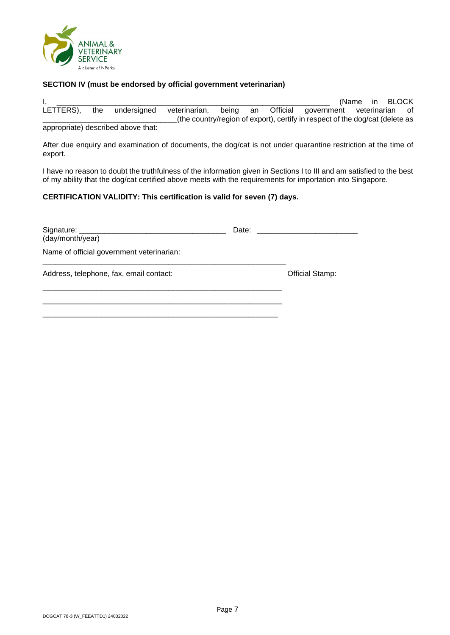

### **SECTION IV (must be endorsed by official government veterinarian)**

 $I$ ,  $\blacksquare$ LETTERS), the undersigned veterinarian, being an Official government veterinarian of \_\_\_\_\_\_\_\_\_\_\_\_\_\_\_\_\_\_\_\_\_\_\_\_\_\_\_\_\_\_\_\_(the country/region of export), certify in respect of the dog/cat (delete as appropriate) described above that:

After due enquiry and examination of documents, the dog/cat is not under quarantine restriction at the time of export.

I have no reason to doubt the truthfulness of the information given in Sections I to III and am satisfied to the best of my ability that the dog/cat certified above meets with the requirements for importation into Singapore.

## **CERTIFICATION VALIDITY: This certification is valid for seven (7) days.**

| (day/month/year)                          | Date: ___________________ |
|-------------------------------------------|---------------------------|
| Name of official government veterinarian: |                           |
| Address, telephone, fax, email contact:   | <b>Official Stamp:</b>    |
|                                           |                           |
|                                           |                           |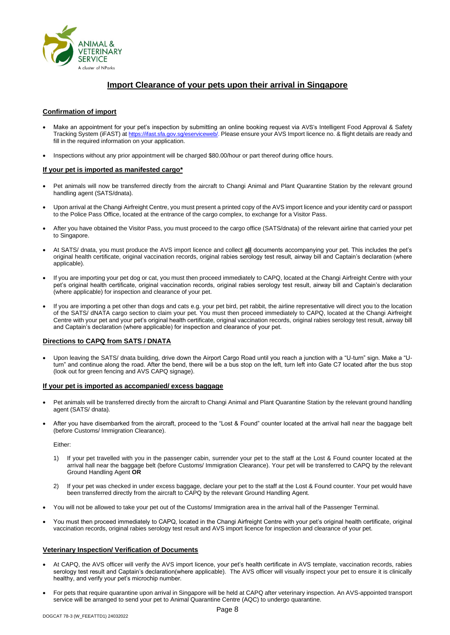

## **Import Clearance of your pets upon their arrival in Singapore**

#### **Confirmation of import**

- Make an appointment for your pet's inspection by submitting an online booking request via AVS's Intelligent Food Approval & Safety Tracking System (iFAST) at [https://ifast.sfa.gov.sg/eserviceweb/.](https://ifast.sfa.gov.sg/eserviceweb/) Please ensure your AVS Import licence no. & flight details are ready and fill in the required information on your application.
- Inspections without any prior appointment will be charged \$80.00/hour or part thereof during office hours.

#### **If your pet is imported as manifested cargo\***

- Pet animals will now be transferred directly from the aircraft to Changi Animal and Plant Quarantine Station by the relevant ground handling agent (SATS/dnata).
- Upon arrival at the Changi Airfreight Centre, you must present a printed copy of the AVS import licence and your identity card or passport to the Police Pass Office, located at the entrance of the cargo complex, to exchange for a Visitor Pass.
- After you have obtained the Visitor Pass, you must proceed to the cargo office (SATS/dnata) of the relevant airline that carried your pet to Singapore.
- At SATS/ dnata, you must produce the AVS import licence and collect **all** documents accompanying your pet. This includes the pet's original health certificate, original vaccination records, original rabies serology test result, airway bill and Captain's declaration (where applicable).
- If you are importing your pet dog or cat, you must then proceed immediately to CAPQ, located at the Changi Airfreight Centre with your pet's original health certificate, original vaccination records, original rabies serology test result, airway bill and Captain's declaration (where applicable) for inspection and clearance of your pet.
- If you are importing a pet other than dogs and cats e.g. your pet bird, pet rabbit, the airline representative will direct you to the location of the SATS/ dNATA cargo section to claim your pet. You must then proceed immediately to CAPQ, located at the Changi Airfreight Centre with your pet and your pet's original health certificate, original vaccination records, original rabies serology test result, airway bill and Captain's declaration (where applicable) for inspection and clearance of your pet.

#### **Directions to CAPQ from SATS / DNATA**

• Upon leaving the SATS/ dnata building, drive down the Airport Cargo Road until you reach a junction with a "U-turn" sign. Make a "Uturn" and continue along the road. After the bend, there will be a bus stop on the left, turn left into Gate C7 located after the bus stop (look out for green fencing and AVS CAPQ signage).

#### **If your pet is imported as accompanied/ excess baggage**

- Pet animals will be transferred directly from the aircraft to Changi Animal and Plant Quarantine Station by the relevant ground handling agent (SATS/ dnata).
- After you have disembarked from the aircraft, proceed to the "Lost & Found" counter located at the arrival hall near the baggage belt (before Customs/ Immigration Clearance).

Either:

- 1) If your pet travelled with you in the passenger cabin, surrender your pet to the staff at the Lost & Found counter located at the arrival hall near the baggage belt (before Customs/ Immigration Clearance). Your pet will be transferred to CAPQ by the relevant Ground Handling Agent **OR**
- 2) If your pet was checked in under excess baggage, declare your pet to the staff at the Lost & Found counter. Your pet would have been transferred directly from the aircraft to CAPQ by the relevant Ground Handling Agent.
- You will not be allowed to take your pet out of the Customs/ Immigration area in the arrival hall of the Passenger Terminal.
- You must then proceed immediately to CAPQ, located in the Changi Airfreight Centre with your pet's original health certificate, original vaccination records, original rabies serology test result and AVS import licence for inspection and clearance of your pet.

#### **Veterinary Inspection/ Verification of Documents**

- At CAPQ, the AVS officer will verify the AVS import licence, your pet's health certificate in AVS template, vaccination records, rabies serology test result and Captain's declaration(where applicable). The AVS officer will visually inspect your pet to ensure it is clinically healthy, and verify your pet's microchip number.
- For pets that require quarantine upon arrival in Singapore will be held at CAPQ after veterinary inspection. An AVS-appointed transport service will be arranged to send your pet to Animal Quarantine Centre (AQC) to undergo quarantine.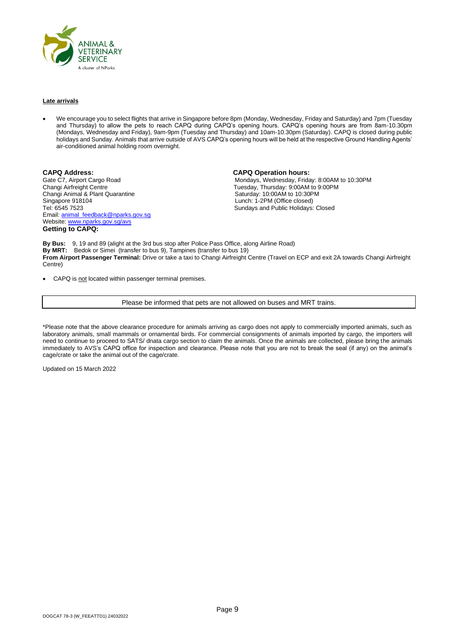

#### **Late arrivals**

• We encourage you to select flights that arrive in Singapore before 8pm (Monday, Wednesday, Friday and Saturday) and 7pm (Tuesday and Thursday) to allow the pets to reach CAPQ during CAPQ's opening hours. CAPQ's opening hours are from 8am-10.30pm (Mondays, Wednesday and Friday), 9am-9pm (Tuesday and Thursday) and 10am-10.30pm (Saturday). CAPQ is closed during public holidays and Sunday. Animals that arrive outside of AVS CAPQ's opening hours will be held at the respective Ground Handling Agents' air-conditioned animal holding room overnight.

**CAPQ Address: CAPQ Operation hours:** Changi Animal & Plant Quarantine<br>Singapore 918104 Singapore 918104 **Singapore 918104** Lunch: 1-2PM (Office closed)<br>Tel: 6545 7523 **Contract Contract Contract Contract Contract Contract Contract Contract Contract Contract Contra** Email: [animal\\_feedback@nparks.gov.sg](mailto:animal_feedback@nparks.gov.sg) Website: [www.nparks.gov.sg/avs](http://www.nparks.gov.sg/avs) **Getting to CAPQ:**

Gate C7, Airport Cargo Road Cargo And Mondays, Wednesday, Friday: 8:00AM to 10:30PM<br>Changi Airfreight Centre Cargo Cargo Cargo Cargo Cargo Cargo Tuesday, Thursday: 9:00AM to 9:00PM Tuesday, Thursday: 9:00AM to 9:00PM<br>Saturday: 10:00AM to 10:30PM Sundays and Public Holidays: Closed

**By Bus:** 9, 19 and 89 (alight at the 3rd bus stop after Police Pass Office, along Airline Road) **By MRT:** Bedok or Simei (transfer to bus 9), Tampines (transfer to bus 19) **From Airport Passenger Terminal:** Drive or take a taxi to Changi Airfreight Centre (Travel on ECP and exit 2A towards Changi Airfreight Centre)

CAPQ is not located within passenger terminal premises.

Please be informed that pets are not allowed on buses and MRT trains.

\*Please note that the above clearance procedure for animals arriving as cargo does not apply to commercially imported animals, such as laboratory animals, small mammals or ornamental birds. For commercial consignments of animals imported by cargo, the importers will need to continue to proceed to SATS/ dnata cargo section to claim the animals. Once the animals are collected, please bring the animals immediately to AVS's CAPQ office for inspection and clearance. Please note that you are not to break the seal (if any) on the animal's cage/crate or take the animal out of the cage/crate.

Updated on 15 March 2022